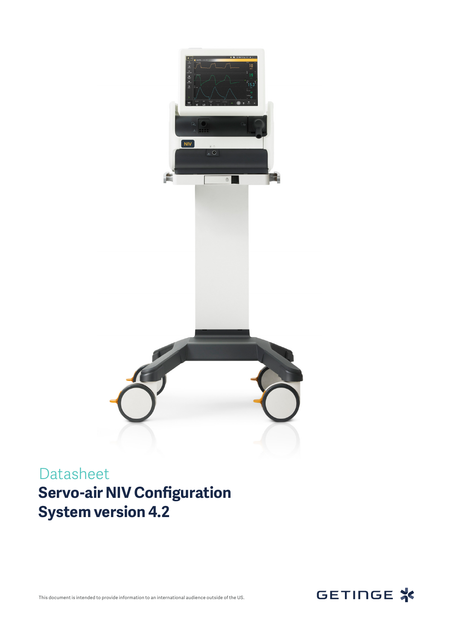

## Datasheet **Servo-air NIV Configuration System version 4.2**



This document is intended to provide information to an international audience outside of the US.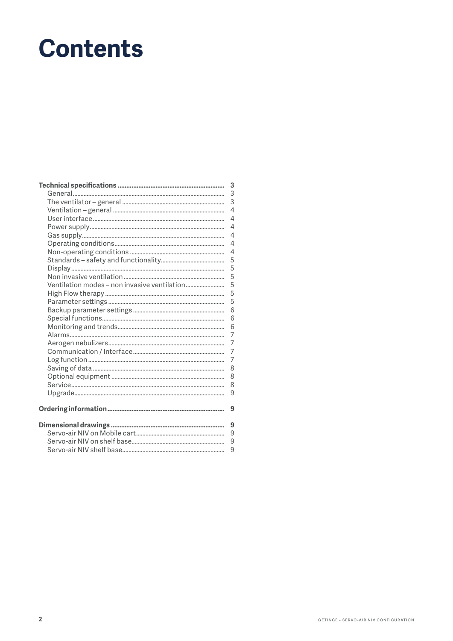# **Contents**

|                                              | 3              |
|----------------------------------------------|----------------|
|                                              | 3              |
|                                              | 3              |
|                                              | $\overline{4}$ |
|                                              | $\overline{4}$ |
|                                              | $\overline{4}$ |
|                                              | $\overline{4}$ |
|                                              | 4              |
|                                              | 4              |
|                                              | 5              |
|                                              | 5              |
|                                              | 5              |
| Ventilation modes - non invasive ventilation | 5              |
|                                              | 5              |
|                                              | 5              |
|                                              | 6              |
|                                              | 6              |
|                                              | 6              |
|                                              | $\overline{7}$ |
|                                              | 7              |
|                                              | $\overline{7}$ |
|                                              | $\overline{7}$ |
|                                              | 8              |
|                                              | 8              |
|                                              | 8              |
|                                              | 9              |
|                                              |                |
|                                              | 9              |
|                                              | 9              |
|                                              | 9              |
|                                              | 9              |
|                                              | 9              |
|                                              |                |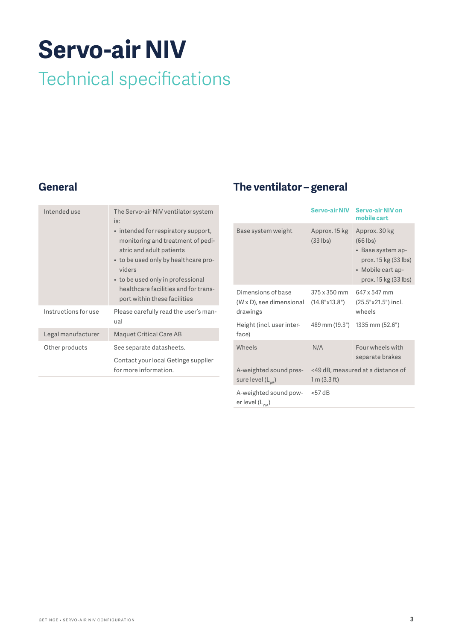# <span id="page-2-0"></span>**Servo-air NIV**

## Technical specifications

#### **General**

| Intended use         | The Servo-air NIV ventilator system<br>is:<br>• intended for respiratory support,<br>monitoring and treatment of pedi-<br>atric and adult patients<br>• to be used only by healthcare pro-<br>viders<br>• to be used only in professional<br>healthcare facilities and for trans-<br>port within these facilities |
|----------------------|-------------------------------------------------------------------------------------------------------------------------------------------------------------------------------------------------------------------------------------------------------------------------------------------------------------------|
| Instructions for use | Please carefully read the user's man-<br>ual                                                                                                                                                                                                                                                                      |
| Legal manufacturer   | <b>Maquet Critical Care AB</b>                                                                                                                                                                                                                                                                                    |
| Other products       | See separate datasheets.                                                                                                                                                                                                                                                                                          |
|                      | Contact your local Getinge supplier<br>for more information.                                                                                                                                                                                                                                                      |

#### **The ventilator – general**

|                                                            | <b>Servo-air NIV</b>          | <b>Servo-air NIV on</b><br>mobile cart                                                                                |
|------------------------------------------------------------|-------------------------------|-----------------------------------------------------------------------------------------------------------------------|
| Base system weight                                         | Approx. 15 kg<br>$(33$ lbs)   | Approx. 30 kg<br>$(66$ lbs)<br>• Base system ap-<br>prox. 15 kg (33 lbs)<br>• Mobile cart ap-<br>prox. 15 kg (33 lbs) |
| Dimensions of base<br>(W x D), see dimensional<br>drawings | 375 x 350 mm<br>(14.8"x13.8") | 647 x 547 mm<br>(25.5"x21.5") incl.<br>wheels                                                                         |
| Height (incl. user inter-<br>face)                         | 489 mm (19.3")                | 1335 mm (52.6")                                                                                                       |
| Wheels                                                     | N/A                           | Four wheels with<br>separate brakes                                                                                   |
| A-weighted sound pres-<br>sure level $(L_{pA})$            | 1 m (3.3 ft)                  | <49 dB, measured at a distance of                                                                                     |
| A-weighted sound pow-<br>er level ( $L_{\text{max}}$ )     | $<$ 57 dB                     |                                                                                                                       |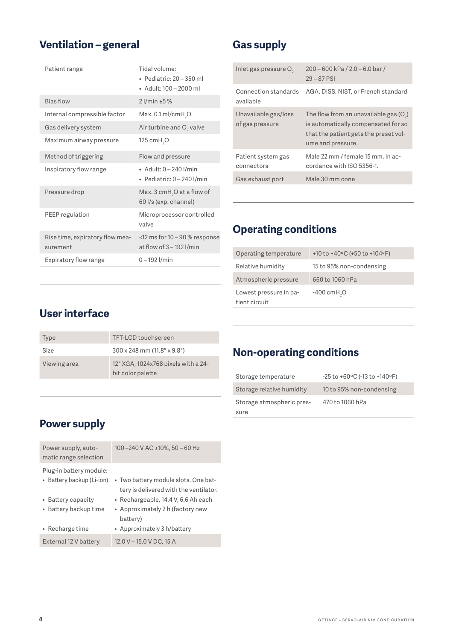#### <span id="page-3-0"></span>**Ventilation – general**

| Patient range                               | Tidal volume:<br>$\bullet$ Pediatric: 20 – 350 ml<br>$\bullet$ Adult: 100 - 2000 ml |
|---------------------------------------------|-------------------------------------------------------------------------------------|
| <b>Bias flow</b>                            | $2$ l/min $±5%$                                                                     |
| Internal compressible factor                | Max. $0.1$ ml/cmH <sub>2</sub> O                                                    |
| Gas delivery system                         | Air turbine and O <sub>2</sub> valve                                                |
| Maximum airway pressure                     | 125 cm $H$ <sub>2</sub> O                                                           |
| Method of triggering                        | Flow and pressure                                                                   |
| Inspiratory flow range                      | • Adult: 0 - 240 l/min<br>• Pediatric: $0 - 240$ l/min                              |
| Pressure drop                               | Max. $3$ cmH <sub>2</sub> O at a flow of<br>60 l/s (exp. channel)                   |
| PEEP regulation                             | Microprocessor controlled<br>valve                                                  |
| Rise time, expiratory flow mea-<br>surement | $<$ 12 ms for 10 – 90 % response<br>at flow of $3 - 192$ l/min                      |
| Expiratory flow range                       | $0 - 192$ l/min                                                                     |
|                                             |                                                                                     |

#### **Gas supply**

| Inlet gas pressure O <sub>2</sub>       | $200 - 600$ kPa $/ 2.0 - 6.0$ bar $/$<br>$29 - 87$ PSI                                                                                        |
|-----------------------------------------|-----------------------------------------------------------------------------------------------------------------------------------------------|
| Connection standards<br>available       | AGA, DISS, NIST, or French standard                                                                                                           |
| Unavailable gas/loss<br>of gas pressure | The flow from an unavailable gas $(O_2)$<br>is automatically compensated for so<br>that the patient gets the preset vol-<br>ume and pressure. |
| Patient system gas<br>connectors        | Male 22 mm / female 15 mm. In ac-<br>cordance with ISO 5356-1.                                                                                |
| Gas exhaust port                        | Male 30 mm cone                                                                                                                               |

#### **Operating conditions**

| Operating temperature                   | +10 to +40 $\degree$ C (+50 to +104 $\degree$ F) |
|-----------------------------------------|--------------------------------------------------|
| Relative humidity                       | 15 to 95% non-condensing                         |
| Atmospheric pressure                    | 660 to 1060 hPa                                  |
| Lowest pressure in pa-<br>tient circuit | $-400$ cmH <sub>2</sub> O                        |

#### **User interface**

| <b>Type</b>  | TFT-LCD touchscreen                                      |
|--------------|----------------------------------------------------------|
| Size         | $300 \times 248$ mm $(11.8" \times 9.8")$                |
| Viewing area | 12" XGA, 1024x768 pixels with a 24-<br>bit color palette |

#### **Non-operating conditions**

| Storage temperature       | $-25$ to $+60$ °C (-13 to $+140$ °F) |
|---------------------------|--------------------------------------|
| Storage relative humidity | 10 to 95% non-condensing             |
| Storage atmospheric pres- | 470 to 1060 hPa                      |
| sure                      |                                      |

#### **Power supply**

| Power supply, auto-<br>matic range selection         | 100-240 V AC ±10%, 50-60 Hz                                                    |
|------------------------------------------------------|--------------------------------------------------------------------------------|
| Plug-in battery module:<br>• Battery backup (Li-ion) | • Two battery module slots. One bat-<br>tery is delivered with the ventilator. |
| • Battery capacity                                   | • Rechargeable, 14.4 V, 6.6 Ah each                                            |
| • Battery backup time                                | • Approximately 2 h (factory new<br>battery)                                   |
| • Recharge time                                      | • Approximately 3 h/battery                                                    |
| External 12 V battery                                | 12.0 V - 15.0 V DC, 15 A                                                       |
|                                                      |                                                                                |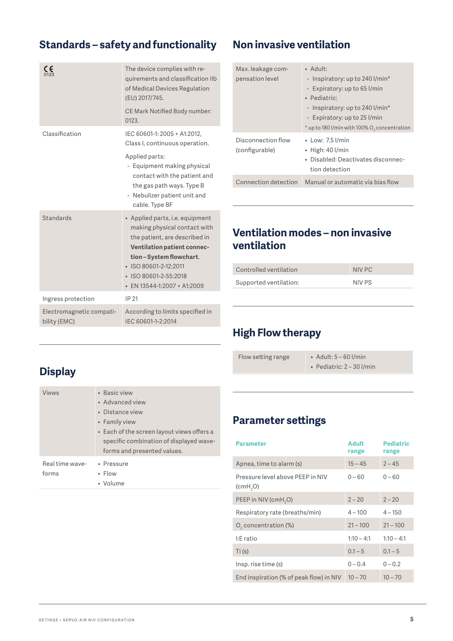#### <span id="page-4-0"></span>**Standards – safety and functionality**

| CE<br>0123                               | The device complies with re-<br>quirements and classification IIb<br>of Medical Devices Regulation<br>(EU) 2017/745.<br>CE Mark Notified Body number:<br>0123.                                                                                          |
|------------------------------------------|---------------------------------------------------------------------------------------------------------------------------------------------------------------------------------------------------------------------------------------------------------|
| Classification                           | IEC 60601-1: 2005 + A1:2012,<br>Class I, continuous operation.<br>Applied parts:<br>- Equipment making physical<br>contact with the patient and<br>the gas path ways. Type B<br>- Nebulizer patient unit and<br>cable. Type BF                          |
| Standards                                | • Applied parts, i.e. equipment<br>making physical contact with<br>the patient, are described in<br><b>Ventilation patient connec-</b><br>tion-System flowchart.<br>· ISO 80601-2-12:2011<br>· ISO 80601-2-55:2018<br>$\cdot$ EN 13544-1:2007 + A1:2009 |
| Ingress protection                       | IP 21                                                                                                                                                                                                                                                   |
| Electromagnetic compati-<br>bility (EMC) | According to limits specified in<br>IEC 60601-1-2:2014                                                                                                                                                                                                  |

#### **Non invasive ventilation**

| Max. leakage com-<br>pensation level | $\bullet$ Adult:<br>- Inspiratory: up to 240 l/min*<br>- Expiratory: up to 65 l/min<br>· Pediatric:<br>- Inspiratory: up to 240 l/min*<br>- Expiratory: up to 25 l/min<br>* up to 180 l/min with 100% O <sub>2</sub> concentration |
|--------------------------------------|------------------------------------------------------------------------------------------------------------------------------------------------------------------------------------------------------------------------------------|
| Disconnection flow<br>(configurable) | $\cdot$ Low: 7.5 l/min<br>$\bullet$ High: 40 l/min<br>• Disabled: Deactivates disconnec-<br>tion detection                                                                                                                         |
| Connection detection                 | Manual or automatic via bias flow                                                                                                                                                                                                  |

#### **Ventilation modes – non invasive ventilation**

| Controlled ventilation | NIV PC |
|------------------------|--------|
| Supported ventilation: | NIV PS |

#### **High Flow therapy**

Flow setting range • Adult: 5 - 60 l/min • Pediatric: 2 – 30 l/min

• Advanced view • Distance view

• Volume

• Family view • Each of the screen layout views offers a specific combination of displayed waveforms and presented values. Real time wave-• Pressure • Flow

#### **Parameter settings**

| <b>Parameter</b>                             | <b>Adult</b><br>range | <b>Pediatric</b><br>range |
|----------------------------------------------|-----------------------|---------------------------|
| Apnea, time to alarm (s)                     | $15 - 45$             | $2 - 45$                  |
| Pressure level above PEEP in NIV<br>(cmH, O) | $0 - 60$              | $0 - 60$                  |
| PEEP in NIV (cmH <sub>2</sub> O)             | $2 - 20$              | $2 - 20$                  |
| Respiratory rate (breaths/min)               | $4 - 100$             | $4 - 150$                 |
| O <sub>2</sub> concentration (%)             | $21 - 100$            | $21 - 100$                |
| I:E ratio                                    | $1:10 - 4:1$          | $1:10 - 4:1$              |
| Ti(S)                                        | $0.1 - 5$             | $0.1 - 5$                 |
| Insp. rise time (s)                          | $0 - 0.4$             | $0 - 0.2$                 |
| End inspiration (% of peak flow) in NIV      | $10 - 70$             | $10 - 70$                 |

### **Display**

forms

Views • Basic view

| GETINGE . SERVO-AIR NIV CONFIGURATION |  |
|---------------------------------------|--|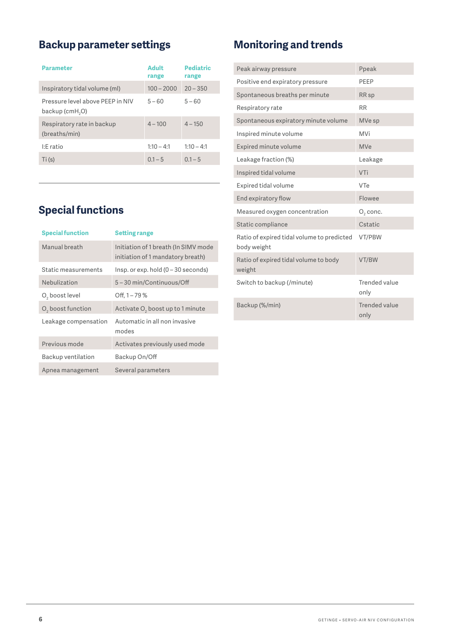#### <span id="page-5-0"></span>**Backup parameter settings**

| <b>Parameter</b>                                                | Adult<br>range | <b>Pediatric</b><br>range |
|-----------------------------------------------------------------|----------------|---------------------------|
| Inspiratory tidal volume (ml)                                   | $100 - 2000$   | $20 - 350$                |
| Pressure level above PEEP in NIV<br>backup (cmH <sub>2</sub> O) | $5 - 60$       | $5 - 60$                  |
| Respiratory rate in backup<br>(breaths/min)                     | $4 - 100$      | $4 - 150$                 |
| I:E ratio                                                       | $1:10 - 4:1$   | $1:10 - 4:1$              |
| Ti(S)                                                           | $0.1 - 5$      | $0.1 - 5$                 |
|                                                                 |                |                           |

#### **Special functions**

| <b>Special function</b>       | <b>Setting range</b>                                                      |
|-------------------------------|---------------------------------------------------------------------------|
| Manual breath                 | Initiation of 1 breath (In SIMV mode<br>initiation of 1 mandatory breath) |
| Static measurements           | $l$ nsp. or exp. hold (0 – 30 seconds)                                    |
| Nebulization                  | 5-30 min/Continuous/Off                                                   |
| O <sub>2</sub> boost level    | Off, $1 - 79\%$                                                           |
| O <sub>2</sub> boost function | Activate O <sub>2</sub> boost up to 1 minute                              |
| Leakage compensation          | Automatic in all non invasive<br>modes                                    |
| Previous mode                 | Activates previously used mode                                            |
| Backup ventilation            | Backup On/Off                                                             |
| Apnea management              | Several parameters                                                        |
|                               |                                                                           |

## **Monitoring and trends**

| Peak airway pressure                                      | Ppeak                 |
|-----------------------------------------------------------|-----------------------|
| Positive end expiratory pressure                          | PFFP                  |
| Spontaneous breaths per minute                            | RR <sub>sp</sub>      |
| Respiratory rate                                          | <b>RR</b>             |
| Spontaneous expiratory minute volume                      | MVe sp                |
| Inspired minute volume                                    | MVi                   |
| Expired minute volume                                     | <b>MVe</b>            |
| Leakage fraction (%)                                      | Leakage               |
| Inspired tidal volume                                     | VTi                   |
| Expired tidal volume                                      | VTe                   |
| End expiratory flow                                       | Flowee                |
| Measured oxygen concentration                             | $O2$ conc.            |
| Static compliance                                         | Cstatic               |
| Ratio of expired tidal volume to predicted<br>body weight | VT/PBW                |
| Ratio of expired tidal volume to body<br>weight           | VT/BW                 |
| Switch to backup (/minute)                                | Trended value<br>only |
| Backup (%/min)                                            | Trended value<br>only |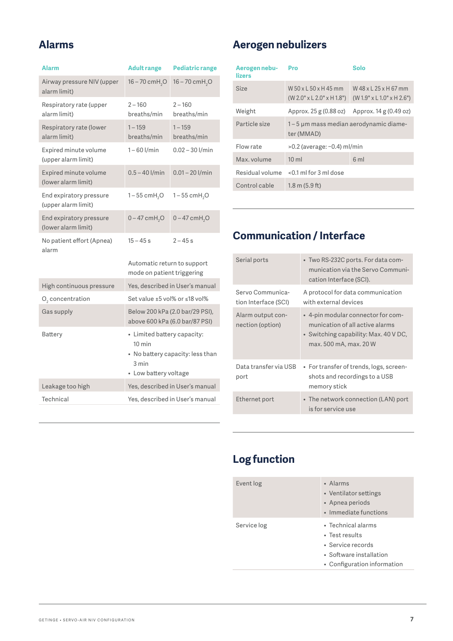#### <span id="page-6-0"></span>**Alarms**

| <b>Alarm</b>                                   | <b>Adult range</b>                                                                | <b>Pediatric range</b>           |
|------------------------------------------------|-----------------------------------------------------------------------------------|----------------------------------|
| Airway pressure NIV (upper<br>alarm limit)     | $16 - 70$ cmH <sub>2</sub> O                                                      | $16 - 70$ cmH <sub>2</sub> O     |
| Respiratory rate (upper<br>alarm limit)        | $2 - 160$<br>breaths/min                                                          | $2 - 160$<br>breaths/min         |
| Respiratory rate (lower<br>alarm limit)        | $1 - 159$<br>breaths/min                                                          | $1 - 159$<br>breaths/min         |
| Expired minute volume<br>(upper alarm limit)   | $1 - 60$ $l/min$                                                                  | $0.02 - 30$ l/min                |
| Expired minute volume<br>(lower alarm limit)   | $0.5 - 40$ l/min                                                                  | $0.01 - 20$ l/min                |
| End expiratory pressure<br>(upper alarm limit) | $1 - 55$ cmH <sub>2</sub> O                                                       | $1 - 55$ cmH <sub>2</sub> O      |
| End expiratory pressure<br>(lower alarm limit) | $0 - 47$ cmH <sub>2</sub> O                                                       | $0 - 47$ cmH <sub>2</sub> O      |
| No patient effort (Apnea)<br>alarm             | $15 - 45s$                                                                        | $2 - 45s$                        |
|                                                | Automatic return to support<br>mode on patient triggering                         |                                  |
| High continuous pressure                       | Yes, described in User's manual                                                   |                                  |
| O <sub>2</sub> concentration                   | Set value ±5 vol% or ≤18 vol%                                                     |                                  |
| Gas supply                                     | Below 200 kPa (2.0 bar/29 PSI),<br>above 600 kPa (6.0 bar/87 PSI)                 |                                  |
| Battery                                        | • Limited battery capacity:<br>$10 \text{ min}$<br>3 min<br>• Low battery voltage | • No battery capacity: less than |
| Leakage too high                               |                                                                                   | Yes, described in User's manual  |
| Technical                                      | Yes, described in User's manual                                                   |                                  |

#### **Aerogen nebulizers**

| Aerogen nebu-<br>lizers | Pro                                                            | Solo                                                            |  |
|-------------------------|----------------------------------------------------------------|-----------------------------------------------------------------|--|
| Size                    | W 50 x 1 50 x 145 mm<br>$(W 2.0" \times L 2.0" \times H 1.8")$ | W 48 x 1 25 x H 67 mm<br>$(W 1.9" \times L 1.0" \times H 2.6")$ |  |
| Weight                  | Approx. 25 g (0.88 oz)<br>Approx. 14 g (0.49 oz)               |                                                                 |  |
| Particle size           | 1-5 µm mass median aerodynamic diame-<br>ter (MMAD)            |                                                                 |  |
| Flow rate               | $>0.2$ (average: $\sim$ 0.4) ml/min                            |                                                                 |  |
| Max. volume             | 10 <sub>ml</sub><br>6ml                                        |                                                                 |  |
| Residual volume         | $< 0.1$ ml for 3 ml dose                                       |                                                                 |  |
| Control cable           | $1.8 \text{ m } (5.9 \text{ ft})$                              |                                                                 |  |

#### **Communication / Interface**

| Serial ports                             | • Two RS-232C ports. For data com-<br>munication via the Servo Communi-<br>cation Interface (SCI).                                       |
|------------------------------------------|------------------------------------------------------------------------------------------------------------------------------------------|
| Servo Communica-<br>tion Interface (SCI) | A protocol for data communication<br>with external devices                                                                               |
| Alarm output con-<br>nection (option)    | • 4-pin modular connector for com-<br>munication of all active alarms<br>• Switching capability: Max. 40 V DC,<br>max. 500 mA, max. 20 W |
| Data transfer via USB<br>port            | • For transfer of trends, logs, screen-<br>shots and recordings to a USB<br>memory stick                                                 |
| Ethernet port                            | • The network connection (LAN) port<br>is for service use                                                                                |

### **Log function**

| Event log   | • Alarms<br>• Ventilator settings<br>• Apnea periods<br>• Immediate functions                                               |
|-------------|-----------------------------------------------------------------------------------------------------------------------------|
| Service log | $\bullet$ Technical alarms<br>• Test results<br>• Service records<br>• Software installation<br>• Configuration information |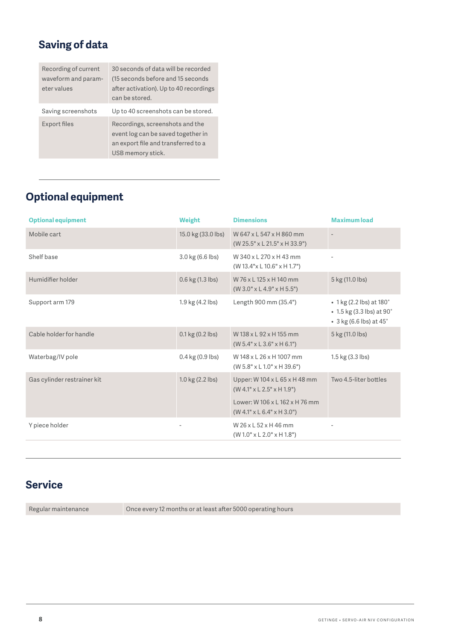#### <span id="page-7-0"></span>**Saving of data**

| Recording of current | 30 seconds of data will be recorded                                                                                               |
|----------------------|-----------------------------------------------------------------------------------------------------------------------------------|
| waveform and param-  | (15 seconds before and 15 seconds)                                                                                                |
| eter values          | after activation). Up to 40 recordings                                                                                            |
|                      | can be stored.                                                                                                                    |
| Saving screenshots   | Up to 40 screenshots can be stored.                                                                                               |
| Export files         | Recordings, screenshots and the<br>event log can be saved together in<br>an export file and transferred to a<br>USB memory stick. |

#### **Optional equipment**

| <b>Optional equipment</b>   | Weight                             | <b>Dimensions</b>                                                       | <b>Maximum load</b>                                                                              |
|-----------------------------|------------------------------------|-------------------------------------------------------------------------|--------------------------------------------------------------------------------------------------|
| Mobile cart                 | 15.0 kg (33.0 lbs)                 | W 647 x L 547 x H 860 mm<br>$(W 25.5" \times L 21.5" \times H 33.9")$   |                                                                                                  |
| Shelf base                  | 3.0 kg (6.6 lbs)                   | W 340 x L 270 x H 43 mm<br>$(W 13.4" \times L 10.6" \times H 1.7")$     |                                                                                                  |
| Humidifier holder           | 0.6 kg (1.3 lbs)                   | W 76 x L 125 x H 140 mm<br>$(W 3.0" \times L 4.9" \times H 5.5")$       | 5 kg (11.0 lbs)                                                                                  |
| Support arm 179             | 1.9 kg (4.2 lbs)                   | Length 900 mm (35.4")                                                   | • 1 kg (2.2 lbs) at 180°<br>• 1.5 kg (3.3 lbs) at 90°<br>$\cdot$ 3 kg (6.6 lbs) at 45 $^{\circ}$ |
| Cable holder for handle     | 0.1 kg (0.2 lbs)                   | W 138 x L 92 x H 155 mm<br>$(W 5.4" \times L 3.6" \times H 6.1")$       | 5 kg (11.0 lbs)                                                                                  |
| Waterbag/IV pole            | $0.4$ kg $(0.9$ lbs)               | W 148 x L 26 x H 1007 mm<br>$(W 5.8" \times L 1.0" \times H 39.6")$     | $1.5 \text{ kg} (3.3 \text{ lbs})$                                                               |
| Gas cylinder restrainer kit | $1.0 \text{ kg} (2.2 \text{ lbs})$ | Upper: W 104 x L 65 x H 48 mm<br>$(W 4.1" \times L 2.5" \times H 1.9")$ | Two 4.5-liter bottles                                                                            |
|                             |                                    | Lower: W106 x L162 x H76 mm<br>$(W 4.1" \times L 6.4" \times H 3.0")$   |                                                                                                  |
| Y piece holder              |                                    | W 26 x L 52 x H 46 mm<br>$(W 1.0" \times L 2.0" \times H 1.8")$         |                                                                                                  |

#### **Service**

Regular maintenance **Once every 12 months or at least after 5000 operating hours**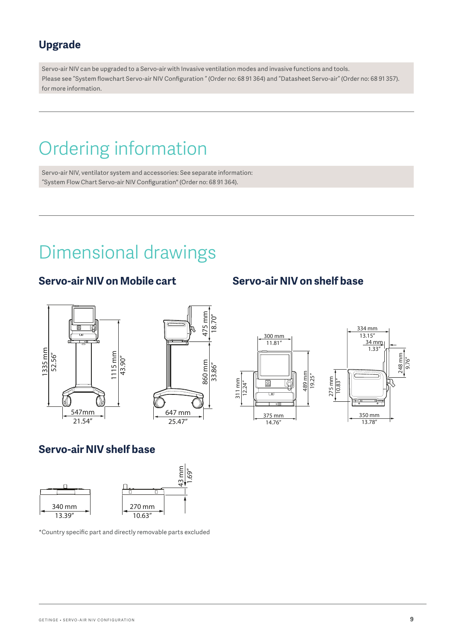#### <span id="page-8-0"></span>**Upgrade**

Servo-air NIV can be upgraded to a Servo-air with Invasive ventilation modes and invasive functions and tools. Please see "System flowchart Servo-air NIV Configuration " (Order no: 68 91 364) and "Datasheet Servo-air" (Order no: 68 91 357). for more information.

## Ordering information

Servo-air NIV, ventilator system and accessories: See separate information: "System Flow Chart Servo-air NIV Configuration" (Order no: 68 91 364).

## Dimensional drawings

#### **Servo-air NIV on Mobile cart Servo-air NIV on shelf base**









#### **Servo-air NIV shelf base**



\*Country specific part and directly removable parts excluded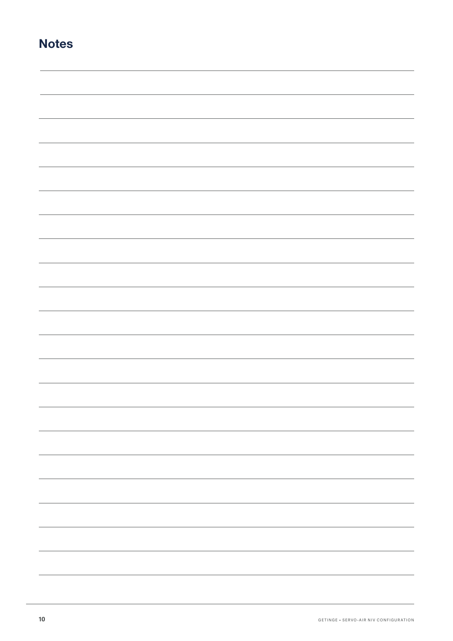| N<br><b>ote</b><br>c |
|----------------------|
|----------------------|

| - |
|---|
|   |
|   |
|   |
|   |
|   |
|   |
|   |
|   |
|   |
|   |
|   |
|   |
|   |
|   |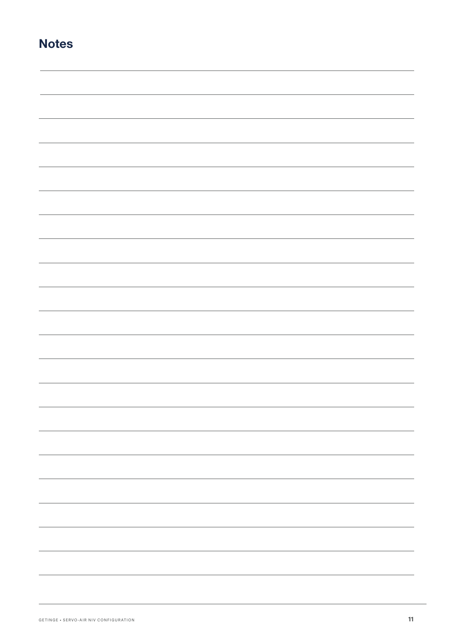| N<br><b>ote</b><br>c |
|----------------------|
|----------------------|